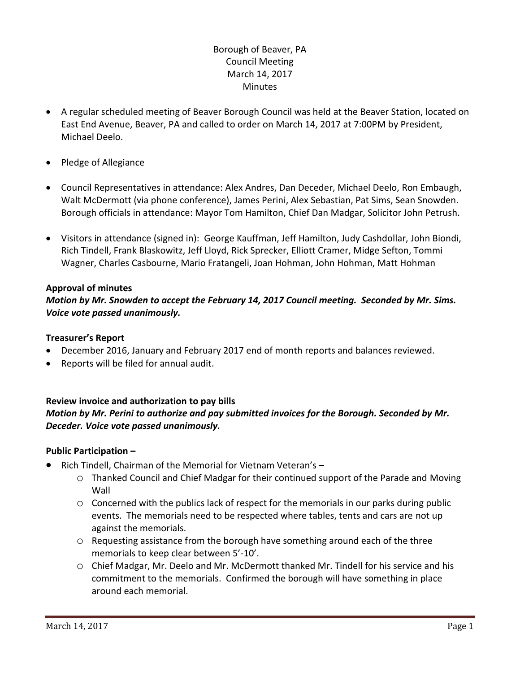# Borough of Beaver, PA Council Meeting March 14, 2017 **Minutes**

- A regular scheduled meeting of Beaver Borough Council was held at the Beaver Station, located on East End Avenue, Beaver, PA and called to order on March 14, 2017 at 7:00PM by President, Michael Deelo.
- Pledge of Allegiance
- Council Representatives in attendance: Alex Andres, Dan Deceder, Michael Deelo, Ron Embaugh, Walt McDermott (via phone conference), James Perini, Alex Sebastian, Pat Sims, Sean Snowden. Borough officials in attendance: Mayor Tom Hamilton, Chief Dan Madgar, Solicitor John Petrush.
- Visitors in attendance (signed in): George Kauffman, Jeff Hamilton, Judy Cashdollar, John Biondi, Rich Tindell, Frank Blaskowitz, Jeff Lloyd, Rick Sprecker, Elliott Cramer, Midge Sefton, Tommi Wagner, Charles Casbourne, Mario Fratangeli, Joan Hohman, John Hohman, Matt Hohman

### **Approval of minutes**

*Motion by Mr. Snowden to accept the February 14, 2017 Council meeting. Seconded by Mr. Sims. Voice vote passed unanimously.* 

### **Treasurer's Report**

- December 2016, January and February 2017 end of month reports and balances reviewed.
- Reports will be filed for annual audit.

# **Review invoice and authorization to pay bills** *Motion by Mr. Perini to authorize and pay submitted invoices for the Borough. Seconded by Mr. Deceder. Voice vote passed unanimously.*

# **Public Participation –**

- Rich Tindell, Chairman of the Memorial for Vietnam Veteran's
	- o Thanked Council and Chief Madgar for their continued support of the Parade and Moving Wall
	- o Concerned with the publics lack of respect for the memorials in our parks during public events. The memorials need to be respected where tables, tents and cars are not up against the memorials.
	- o Requesting assistance from the borough have something around each of the three memorials to keep clear between 5'-10'.
	- o Chief Madgar, Mr. Deelo and Mr. McDermott thanked Mr. Tindell for his service and his commitment to the memorials. Confirmed the borough will have something in place around each memorial.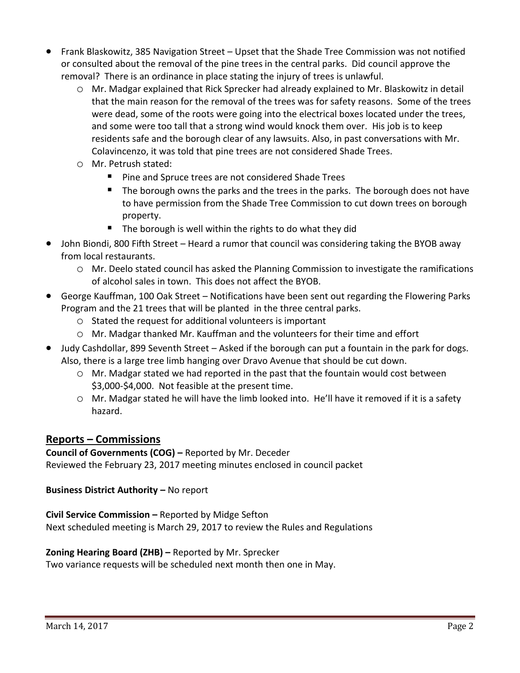- Frank Blaskowitz, 385 Navigation Street Upset that the Shade Tree Commission was not notified or consulted about the removal of the pine trees in the central parks. Did council approve the removal? There is an ordinance in place stating the injury of trees is unlawful.
	- o Mr. Madgar explained that Rick Sprecker had already explained to Mr. Blaskowitz in detail that the main reason for the removal of the trees was for safety reasons. Some of the trees were dead, some of the roots were going into the electrical boxes located under the trees, and some were too tall that a strong wind would knock them over. His job is to keep residents safe and the borough clear of any lawsuits. Also, in past conversations with Mr. Colavincenzo, it was told that pine trees are not considered Shade Trees.
	- o Mr. Petrush stated:
		- **Pine and Spruce trees are not considered Shade Trees**
		- The borough owns the parks and the trees in the parks. The borough does not have to have permission from the Shade Tree Commission to cut down trees on borough property.
		- $\blacksquare$  The borough is well within the rights to do what they did
- John Biondi, 800 Fifth Street Heard a rumor that council was considering taking the BYOB away from local restaurants.
	- o Mr. Deelo stated council has asked the Planning Commission to investigate the ramifications of alcohol sales in town. This does not affect the BYOB.
- George Kauffman, 100 Oak Street Notifications have been sent out regarding the Flowering Parks Program and the 21 trees that will be planted in the three central parks.
	- o Stated the request for additional volunteers is important
	- o Mr. Madgar thanked Mr. Kauffman and the volunteers for their time and effort
- Judy Cashdollar, 899 Seventh Street Asked if the borough can put a fountain in the park for dogs. Also, there is a large tree limb hanging over Dravo Avenue that should be cut down.
	- o Mr. Madgar stated we had reported in the past that the fountain would cost between \$3,000-\$4,000. Not feasible at the present time.
	- o Mr. Madgar stated he will have the limb looked into. He'll have it removed if it is a safety hazard.

# **Reports – Commissions**

# **Council of Governments (COG) –** Reported by Mr. Deceder

Reviewed the February 23, 2017 meeting minutes enclosed in council packet

# **Business District Authority - No report**

# **Civil Service Commission –** Reported by Midge Sefton

Next scheduled meeting is March 29, 2017 to review the Rules and Regulations

# **Zoning Hearing Board (ZHB) –** Reported by Mr. Sprecker

Two variance requests will be scheduled next month then one in May.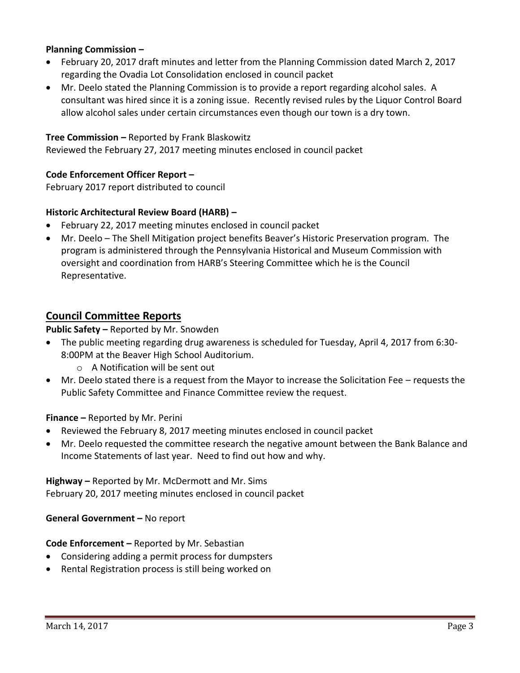## **Planning Commission –**

- February 20, 2017 draft minutes and letter from the Planning Commission dated March 2, 2017 regarding the Ovadia Lot Consolidation enclosed in council packet
- Mr. Deelo stated the Planning Commission is to provide a report regarding alcohol sales. A consultant was hired since it is a zoning issue. Recently revised rules by the Liquor Control Board allow alcohol sales under certain circumstances even though our town is a dry town.

### **Tree Commission –** Reported by Frank Blaskowitz

Reviewed the February 27, 2017 meeting minutes enclosed in council packet

### **Code Enforcement Officer Report –**

February 2017 report distributed to council

### **Historic Architectural Review Board (HARB) –**

- February 22, 2017 meeting minutes enclosed in council packet
- Mr. Deelo The Shell Mitigation project benefits Beaver's Historic Preservation program. The program is administered through the Pennsylvania Historical and Museum Commission with oversight and coordination from HARB's Steering Committee which he is the Council Representative.

## **Council Committee Reports**

**Public Safety –** Reported by Mr. Snowden

- The public meeting regarding drug awareness is scheduled for Tuesday, April 4, 2017 from 6:30- 8:00PM at the Beaver High School Auditorium.
	- o A Notification will be sent out
- Mr. Deelo stated there is a request from the Mayor to increase the Solicitation Fee requests the Public Safety Committee and Finance Committee review the request.

**Finance –** Reported by Mr. Perini

- Reviewed the February 8, 2017 meeting minutes enclosed in council packet
- Mr. Deelo requested the committee research the negative amount between the Bank Balance and Income Statements of last year. Need to find out how and why.

**Highway –** Reported by Mr. McDermott and Mr. Sims February 20, 2017 meeting minutes enclosed in council packet

**General Government –** No report

#### **Code Enforcement –** Reported by Mr. Sebastian

- Considering adding a permit process for dumpsters
- Rental Registration process is still being worked on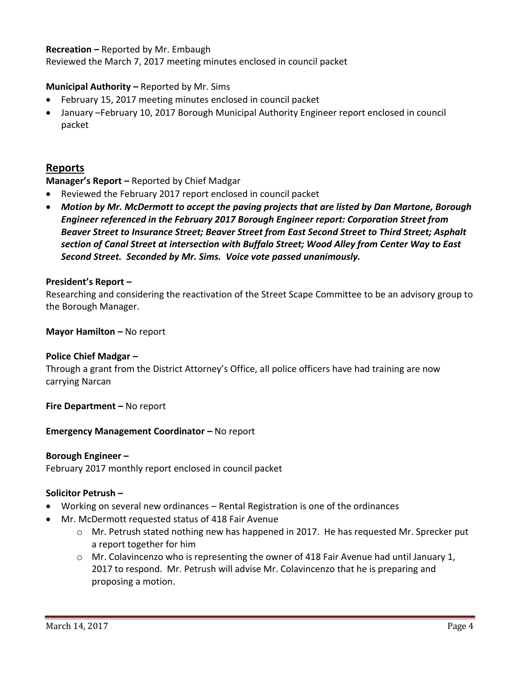## **Recreation –** Reported by Mr. Embaugh

Reviewed the March 7, 2017 meeting minutes enclosed in council packet

## **Municipal Authority –** Reported by Mr. Sims

- February 15, 2017 meeting minutes enclosed in council packet
- January –February 10, 2017 Borough Municipal Authority Engineer report enclosed in council packet

# **Reports**

## **Manager's Report –** Reported by Chief Madgar

- Reviewed the February 2017 report enclosed in council packet
- *Motion by Mr. McDermott to accept the paving projects that are listed by Dan Martone, Borough Engineer referenced in the February 2017 Borough Engineer report: Corporation Street from Beaver Street to Insurance Street; Beaver Street from East Second Street to Third Street; Asphalt section of Canal Street at intersection with Buffalo Street; Wood Alley from Center Way to East Second Street. Seconded by Mr. Sims. Voice vote passed unanimously.*

#### **President's Report –**

Researching and considering the reactivation of the Street Scape Committee to be an advisory group to the Borough Manager.

### **Mayor Hamilton - No report**

### **Police Chief Madgar –**

Through a grant from the District Attorney's Office, all police officers have had training are now carrying Narcan

**Fire Department –** No report

### **Emergency Management Coordinator - No report**

#### **Borough Engineer –**

February 2017 monthly report enclosed in council packet

### **Solicitor Petrush –**

- Working on several new ordinances Rental Registration is one of the ordinances
- Mr. McDermott requested status of 418 Fair Avenue
	- o Mr. Petrush stated nothing new has happened in 2017. He has requested Mr. Sprecker put a report together for him
	- $\circ$  Mr. Colavincenzo who is representing the owner of 418 Fair Avenue had until January 1, 2017 to respond. Mr. Petrush will advise Mr. Colavincenzo that he is preparing and proposing a motion.